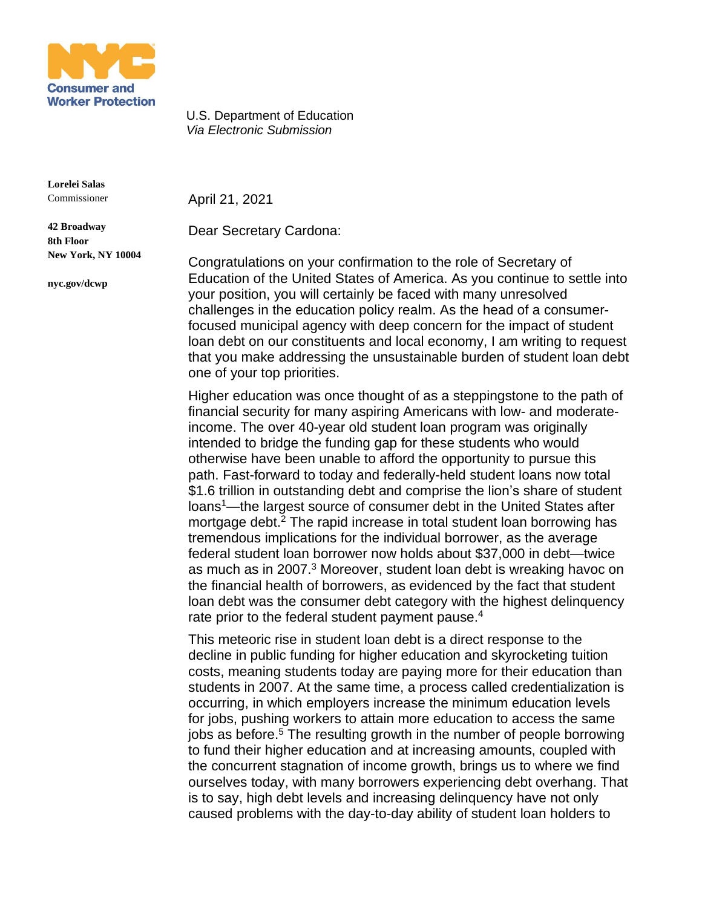

U.S. Department of Education *Via Electronic Submission*

**Lorelei Salas** Commissioner

**42 Broadway 8th Floor**

**nyc.gov/dcwp**

**New York, NY 10004**

April 21, 2021

Dear Secretary Cardona:

Congratulations on your confirmation to the role of Secretary of Education of the United States of America. As you continue to settle into your position, you will certainly be faced with many unresolved challenges in the education policy realm. As the head of a consumerfocused municipal agency with deep concern for the impact of student loan debt on our constituents and local economy, I am writing to request that you make addressing the unsustainable burden of student loan debt one of your top priorities.

Higher education was once thought of as a steppingstone to the path of financial security for many aspiring Americans with low- and moderateincome. The over 40-year old student loan program was originally intended to bridge the funding gap for these students who would otherwise have been unable to afford the opportunity to pursue this path. Fast-forward to today and federally-held student loans now total \$1.6 trillion in outstanding debt and comprise the lion's share of student loans<sup>1</sup>—the largest source of consumer debt in the United States after mortgage debt.<sup>2</sup> The rapid increase in total student loan borrowing has tremendous implications for the individual borrower, as the average federal student loan borrower now holds about \$37,000 in debt—twice as much as in 2007.<sup>3</sup> Moreover, student loan debt is wreaking havoc on the financial health of borrowers, as evidenced by the fact that student loan debt was the consumer debt category with the highest delinquency rate prior to the federal student payment pause.<sup>4</sup>

This meteoric rise in student loan debt is a direct response to the decline in public funding for higher education and skyrocketing tuition costs, meaning students today are paying more for their education than students in 2007. At the same time, a process called credentialization is occurring, in which employers increase the minimum education levels for jobs, pushing workers to attain more education to access the same jobs as before.<sup>5</sup> The resulting growth in the number of people borrowing to fund their higher education and at increasing amounts, coupled with the concurrent stagnation of income growth, brings us to where we find ourselves today, with many borrowers experiencing debt overhang. That is to say, high debt levels and increasing delinquency have not only caused problems with the day-to-day ability of student loan holders to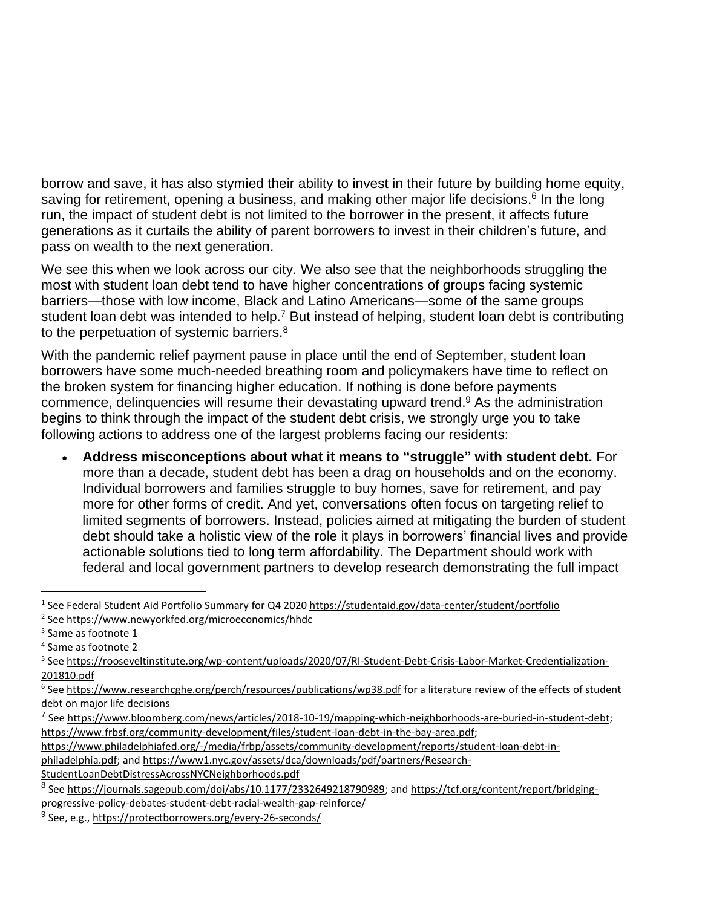borrow and save, it has also stymied their ability to invest in their future by building home equity, saving for retirement, opening a business, and making other major life decisions.<sup>6</sup> In the long run, the impact of student debt is not limited to the borrower in the present, it affects future generations as it curtails the ability of parent borrowers to invest in their children's future, and pass on wealth to the next generation.

We see this when we look across our city. We also see that the neighborhoods struggling the most with student loan debt tend to have higher concentrations of groups facing systemic barriers—those with low income, Black and Latino Americans—some of the same groups student loan debt was intended to help.<sup>7</sup> But instead of helping, student loan debt is contributing to the perpetuation of systemic barriers.<sup>8</sup>

With the pandemic relief payment pause in place until the end of September, student loan borrowers have some much-needed breathing room and policymakers have time to reflect on the broken system for financing higher education. If nothing is done before payments commence, delinquencies will resume their devastating upward trend.<sup>9</sup> As the administration begins to think through the impact of the student debt crisis, we strongly urge you to take following actions to address one of the largest problems facing our residents:

• **Address misconceptions about what it means to "struggle" with student debt.** For more than a decade, student debt has been a drag on households and on the economy. Individual borrowers and families struggle to buy homes, save for retirement, and pay more for other forms of credit. And yet, conversations often focus on targeting relief to limited segments of borrowers. Instead, policies aimed at mitigating the burden of student debt should take a holistic view of the role it plays in borrowers' financial lives and provide actionable solutions tied to long term affordability. The Department should work with federal and local government partners to develop research demonstrating the full impact

<sup>&</sup>lt;sup>1</sup> See Federal Student Aid Portfolio Summary for Q4 2020 <https://studentaid.gov/data-center/student/portfolio> 2 See <https://www.newyorkfed.org/microeconomics/hhdc>

<sup>&</sup>lt;sup>3</sup> Same as footnote 1

<sup>4</sup> Same as footnote 2

<sup>&</sup>lt;sup>5</sup> See [https://rooseveltinstitute.org/wp-content/uploads/2020/07/RI-Student-Debt-Crisis-Labor-Market-Credentialization-](https://rooseveltinstitute.org/wp-content/uploads/2020/07/RI-Student-Debt-Crisis-Labor-Market-Credentialization-201810.pdf)[201810.pdf](https://rooseveltinstitute.org/wp-content/uploads/2020/07/RI-Student-Debt-Crisis-Labor-Market-Credentialization-201810.pdf) 

<sup>&</sup>lt;sup>6</sup> See <https://www.researchcghe.org/perch/resources/publications/wp38.pdf> for a literature review of the effects of student debt on major life decisions

<sup>&</sup>lt;sup>7</sup> See <u>[https://www.bloomberg.com/news/articles/2018-10-19/mapping-which-neighborhoods-are-buried-in-student-debt;](https://www.bloomberg.com/news/articles/2018-10-19/mapping-which-neighborhoods-are-buried-in-student-debt)</u> [https://www.frbsf.org/community-development/files/student-loan-debt-in-the-bay-area.pdf;](https://gcc02.safelinks.protection.outlook.com/?url=https%253A%252F%252Fwww.frbsf.org%252Fcommunity-development%252Ffiles%252Fstudent-loan-debt-in-the-bay-area.pdf&data=04%257C01%257Cunischan%2540dca.nyc.gov%257C5e59d28a76b34f263a5908d8ce10a54d%257C32f56fc75f814e22a95b15da66513bef%257C0%257C0%257C637485918614979483%257CUnknown%257CTWFpbGZsb3d8eyJWIjoiMC4wLjAwMDAiLCJQIjoiV2luMzIiLCJBTiI6Ik1haWwiLCJXVCI6Mn0%253D%257C1000&sdata=SW5GFjxkfpYgr7Jjo2v%252FRLZRI6a6py9a8nXY1i4gnzc%253D&reserved=0)

[https://www.philadelphiafed.org/-/media/frbp/assets/community-development/reports/student-loan-debt-in](https://www.philadelphiafed.org/-/media/frbp/assets/community-development/reports/student-loan-debt-in-philadelphia.pdf)[philadelphia.pdf;](https://www.philadelphiafed.org/-/media/frbp/assets/community-development/reports/student-loan-debt-in-philadelphia.pdf) and [https://www1.nyc.gov/assets/dca/downloads/pdf/partners/Research-](https://www1.nyc.gov/assets/dca/downloads/pdf/partners/Research-StudentLoanDebtDistressAcrossNYCNeighborhoods.pdf)

[StudentLoanDebtDistressAcrossNYCNeighborhoods.pdf](https://www1.nyc.gov/assets/dca/downloads/pdf/partners/Research-StudentLoanDebtDistressAcrossNYCNeighborhoods.pdf) 

<sup>&</sup>lt;sup>8</sup> See [https://journals.sagepub.com/doi/abs/10.1177/2332649218790989;](https://journals.sagepub.com/doi/abs/10.1177/2332649218790989) and [https://tcf.org/content/report/bridging](https://tcf.org/content/report/bridging-progressive-policy-debates-student-debt-racial-wealth-gap-reinforce/)[progressive-policy-debates-student-debt-racial-wealth-gap-reinforce/](https://tcf.org/content/report/bridging-progressive-policy-debates-student-debt-racial-wealth-gap-reinforce/)

<sup>&</sup>lt;sup>9</sup> See, e.g., <https://protectborrowers.org/every-26-seconds/>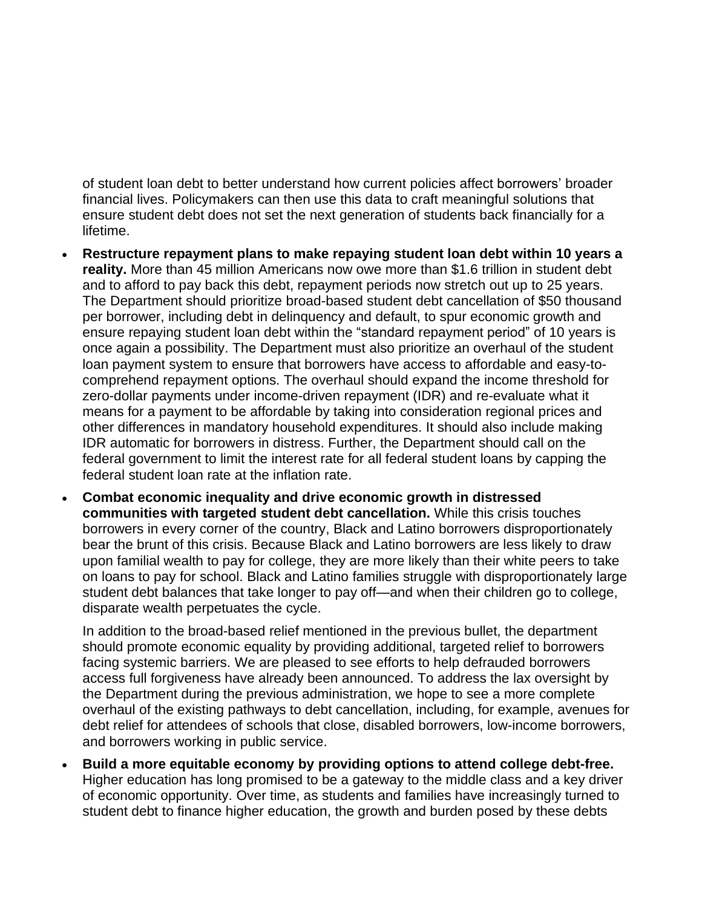of student loan debt to better understand how current policies affect borrowers' broader financial lives. Policymakers can then use this data to craft meaningful solutions that ensure student debt does not set the next generation of students back financially for a lifetime.

- **Restructure repayment plans to make repaying student loan debt within 10 years a reality.** More than 45 million Americans now owe more than \$1.6 trillion in student debt and to afford to pay back this debt, repayment periods now stretch out up to 25 years. The Department should prioritize broad-based student debt cancellation of \$50 thousand per borrower, including debt in delinquency and default, to spur economic growth and ensure repaying student loan debt within the "standard repayment period" of 10 years is once again a possibility. The Department must also prioritize an overhaul of the student loan payment system to ensure that borrowers have access to affordable and easy-tocomprehend repayment options. The overhaul should expand the income threshold for zero-dollar payments under income-driven repayment (IDR) and re-evaluate what it means for a payment to be affordable by taking into consideration regional prices and other differences in mandatory household expenditures. It should also include making IDR automatic for borrowers in distress. Further, the Department should call on the federal government to limit the interest rate for all federal student loans by capping the federal student loan rate at the inflation rate.
- **Combat economic inequality and drive economic growth in distressed communities with targeted student debt cancellation.** While this crisis touches borrowers in every corner of the country, Black and Latino borrowers disproportionately bear the brunt of this crisis. Because Black and Latino borrowers are less likely to draw upon familial wealth to pay for college, they are more likely than their white peers to take on loans to pay for school. Black and Latino families struggle with disproportionately large student debt balances that take longer to pay off—and when their children go to college, disparate wealth perpetuates the cycle.

In addition to the broad-based relief mentioned in the previous bullet, the department should promote economic equality by providing additional, targeted relief to borrowers facing systemic barriers. We are pleased to see efforts to help defrauded borrowers access full forgiveness have already been announced. To address the lax oversight by the Department during the previous administration, we hope to see a more complete overhaul of the existing pathways to debt cancellation, including, for example, avenues for debt relief for attendees of schools that close, disabled borrowers, low-income borrowers, and borrowers working in public service.

• **Build a more equitable economy by providing options to attend college debt-free.** Higher education has long promised to be a gateway to the middle class and a key driver of economic opportunity. Over time, as students and families have increasingly turned to student debt to finance higher education, the growth and burden posed by these debts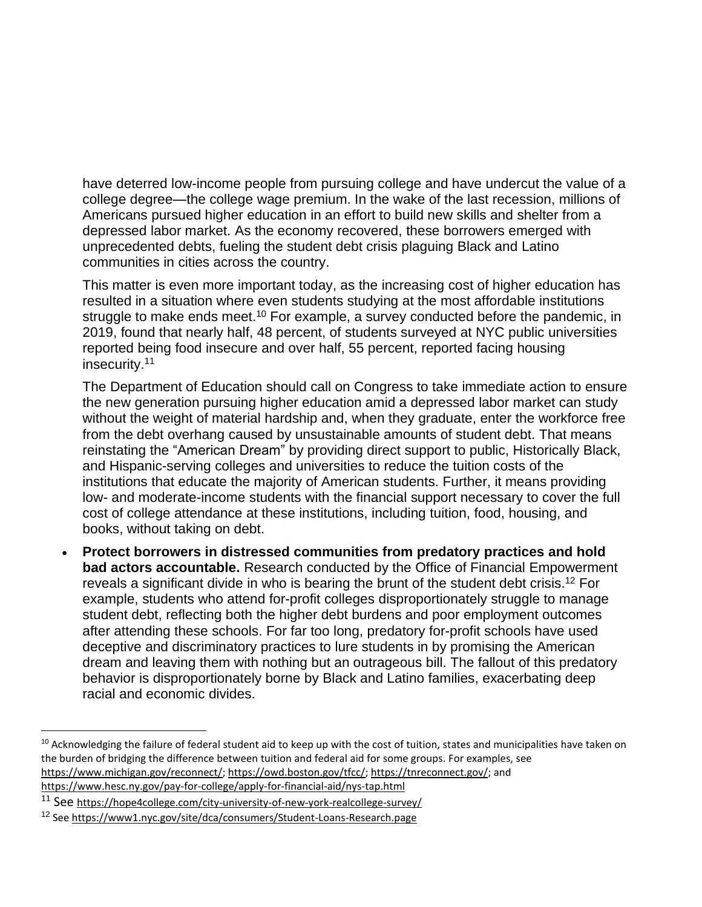have deterred low-income people from pursuing college and have undercut the value of a college degree—the college wage premium. In the wake of the last recession, millions of Americans pursued higher education in an effort to build new skills and shelter from a depressed labor market. As the economy recovered, these borrowers emerged with unprecedented debts, fueling the student debt crisis plaguing Black and Latino communities in cities across the country.

This matter is even more important today, as the increasing cost of higher education has resulted in a situation where even students studying at the most affordable institutions struggle to make ends meet.<sup>10</sup> For example, a survey conducted before the pandemic, in 2019, found that nearly half, 48 percent, of students surveyed at NYC public universities reported being food insecure and over half, 55 percent, reported facing housing insecurity.<sup>11</sup>

The Department of Education should call on Congress to take immediate action to ensure the new generation pursuing higher education amid a depressed labor market can study without the weight of material hardship and, when they graduate, enter the workforce free from the debt overhang caused by unsustainable amounts of student debt. That means reinstating the "American Dream" by providing direct support to public, Historically Black, and Hispanic-serving colleges and universities to reduce the tuition costs of the institutions that educate the majority of American students. Further, it means providing low- and moderate-income students with the financial support necessary to cover the full cost of college attendance at these institutions, including tuition, food, housing, and books, without taking on debt.

• **Protect borrowers in distressed communities from predatory practices and hold bad actors accountable.** Research conducted by the Office of Financial Empowerment reveals a significant divide in who is bearing the brunt of the student debt crisis.<sup>12</sup> For example, students who attend for-profit colleges disproportionately struggle to manage student debt, reflecting both the higher debt burdens and poor employment outcomes after attending these schools. For far too long, predatory for-profit schools have used deceptive and discriminatory practices to lure students in by promising the American dream and leaving them with nothing but an outrageous bill. The fallout of this predatory behavior is disproportionately borne by Black and Latino families, exacerbating deep racial and economic divides.

 $10$  Acknowledging the failure of federal student aid to keep up with the cost of tuition, states and municipalities have taken on the burden of bridging the difference between tuition and federal aid for some groups. For examples, see [https://www.michigan.gov/reconnect/;](https://www.michigan.gov/reconnect/) [https://owd.boston.gov/tfcc/;](https://owd.boston.gov/tfcc/) [https://tnreconnect.gov/;](https://tnreconnect.gov/) and <https://www.hesc.ny.gov/pay-for-college/apply-for-financial-aid/nys-tap.html>

<sup>11</sup> See <https://hope4college.com/city-university-of-new-york-realcollege-survey/>

<sup>&</sup>lt;sup>12</sup> See <https://www1.nyc.gov/site/dca/consumers/Student-Loans-Research.page>